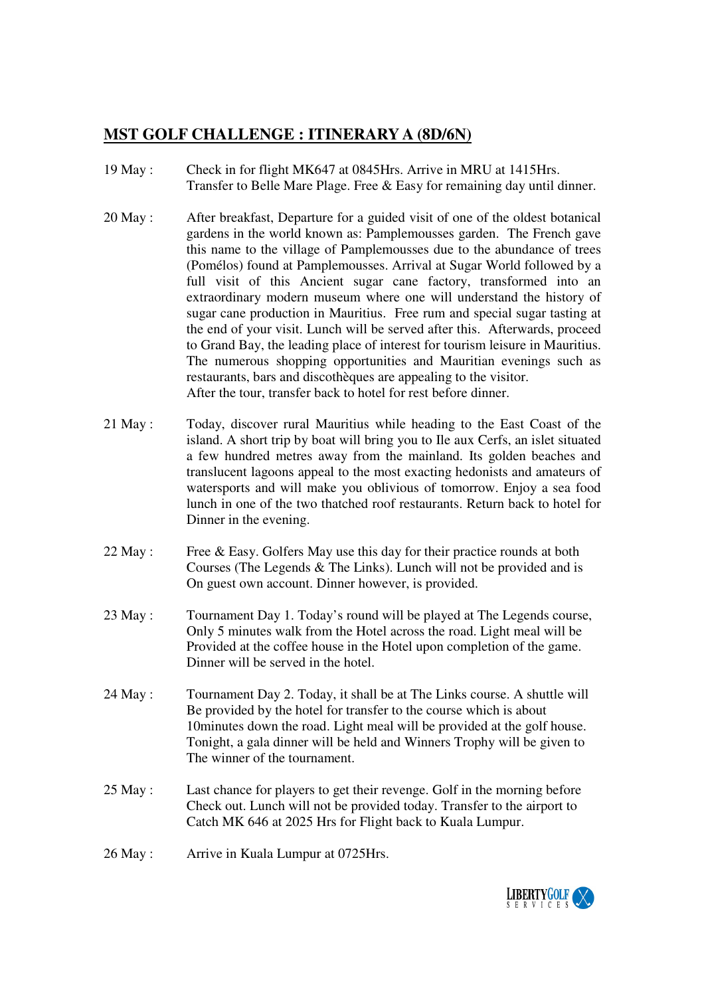## **MST GOLF CHALLENGE : ITINERARY A (8D/6N)**

- 19 May : Check in for flight MK647 at 0845Hrs. Arrive in MRU at 1415Hrs. Transfer to Belle Mare Plage. Free & Easy for remaining day until dinner.
- 20 May : After breakfast, Departure for a guided visit of one of the oldest botanical gardens in the world known as: Pamplemousses garden. The French gave this name to the village of Pamplemousses due to the abundance of trees (Pomélos) found at Pamplemousses. Arrival at Sugar World followed by a full visit of this Ancient sugar cane factory, transformed into an extraordinary modern museum where one will understand the history of sugar cane production in Mauritius. Free rum and special sugar tasting at the end of your visit. Lunch will be served after this. Afterwards, proceed to Grand Bay, the leading place of interest for tourism leisure in Mauritius. The numerous shopping opportunities and Mauritian evenings such as restaurants, bars and discothèques are appealing to the visitor. After the tour, transfer back to hotel for rest before dinner.
- 21 May : Today, discover rural Mauritius while heading to the East Coast of the island. A short trip by boat will bring you to Ile aux Cerfs, an islet situated a few hundred metres away from the mainland. Its golden beaches and translucent lagoons appeal to the most exacting hedonists and amateurs of watersports and will make you oblivious of tomorrow. Enjoy a sea food lunch in one of the two thatched roof restaurants. Return back to hotel for Dinner in the evening.
- 22 May : Free & Easy. Golfers May use this day for their practice rounds at both Courses (The Legends & The Links). Lunch will not be provided and is On guest own account. Dinner however, is provided.
- 23 May : Tournament Day 1. Today's round will be played at The Legends course, Only 5 minutes walk from the Hotel across the road. Light meal will be Provided at the coffee house in the Hotel upon completion of the game. Dinner will be served in the hotel.
- 24 May : Tournament Day 2. Today, it shall be at The Links course. A shuttle will Be provided by the hotel for transfer to the course which is about 10minutes down the road. Light meal will be provided at the golf house. Tonight, a gala dinner will be held and Winners Trophy will be given to The winner of the tournament.
- 25 May : Last chance for players to get their revenge. Golf in the morning before Check out. Lunch will not be provided today. Transfer to the airport to Catch MK 646 at 2025 Hrs for Flight back to Kuala Lumpur.
- 26 May : Arrive in Kuala Lumpur at 0725Hrs.